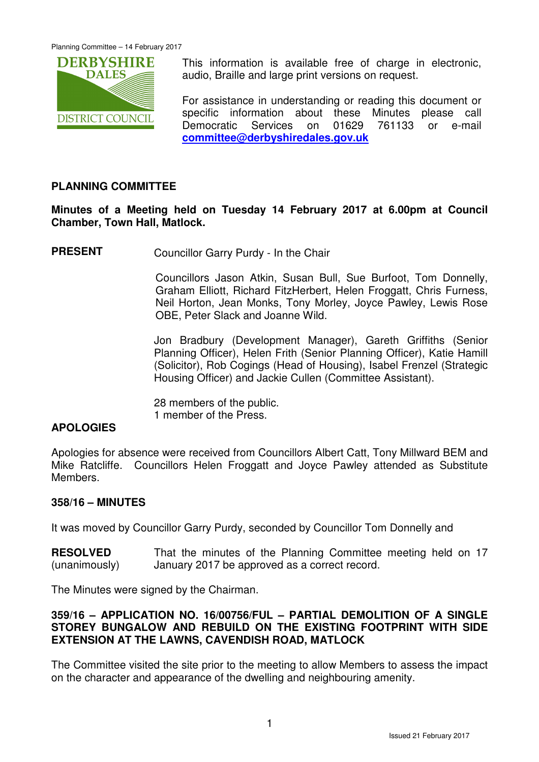

This information is available free of charge in electronic, audio, Braille and large print versions on request.

For assistance in understanding or reading this document or specific information about these Minutes please call Democratic Services on 01629 761133 or e-mail **committee@derbyshiredales.gov.uk**

# **PLANNING COMMITTEE**

**Minutes of a Meeting held on Tuesday 14 February 2017 at 6.00pm at Council Chamber, Town Hall, Matlock.** 

**PRESENT** Councillor Garry Purdy - In the Chair

 Councillors Jason Atkin, Susan Bull, Sue Burfoot, Tom Donnelly, Graham Elliott, Richard FitzHerbert, Helen Froggatt, Chris Furness, Neil Horton, Jean Monks, Tony Morley, Joyce Pawley, Lewis Rose OBE, Peter Slack and Joanne Wild.

Jon Bradbury (Development Manager), Gareth Griffiths (Senior Planning Officer), Helen Frith (Senior Planning Officer), Katie Hamill (Solicitor), Rob Cogings (Head of Housing), Isabel Frenzel (Strategic Housing Officer) and Jackie Cullen (Committee Assistant).

28 members of the public. 1 member of the Press.

# **APOLOGIES**

Apologies for absence were received from Councillors Albert Catt, Tony Millward BEM and Mike Ratcliffe. Councillors Helen Froggatt and Joyce Pawley attended as Substitute Members.

# **358/16 – MINUTES**

It was moved by Councillor Garry Purdy, seconded by Councillor Tom Donnelly and

**RESOLVED** (unanimously) That the minutes of the Planning Committee meeting held on 17 January 2017 be approved as a correct record.

The Minutes were signed by the Chairman.

# **359/16 – APPLICATION NO. 16/00756/FUL – PARTIAL DEMOLITION OF A SINGLE STOREY BUNGALOW AND REBUILD ON THE EXISTING FOOTPRINT WITH SIDE EXTENSION AT THE LAWNS, CAVENDISH ROAD, MATLOCK**

The Committee visited the site prior to the meeting to allow Members to assess the impact on the character and appearance of the dwelling and neighbouring amenity.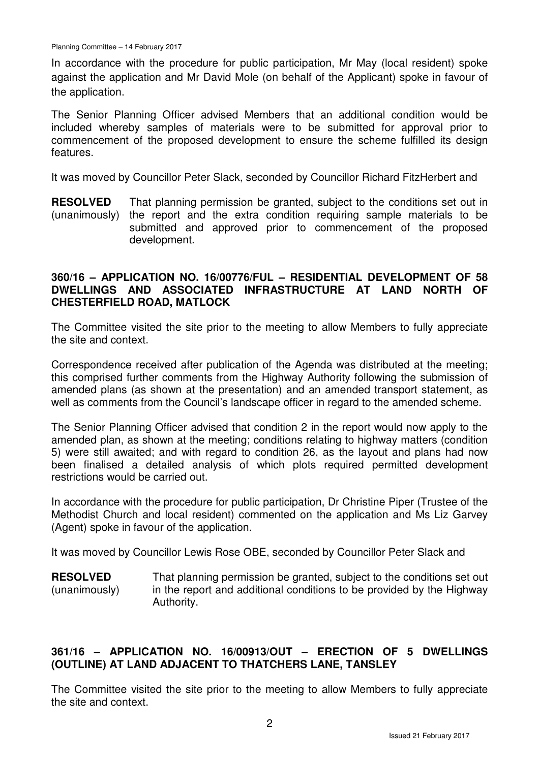In accordance with the procedure for public participation, Mr May (local resident) spoke against the application and Mr David Mole (on behalf of the Applicant) spoke in favour of the application.

The Senior Planning Officer advised Members that an additional condition would be included whereby samples of materials were to be submitted for approval prior to commencement of the proposed development to ensure the scheme fulfilled its design features.

It was moved by Councillor Peter Slack, seconded by Councillor Richard FitzHerbert and

**RESOLVED** (unanimously) That planning permission be granted, subject to the conditions set out in the report and the extra condition requiring sample materials to be submitted and approved prior to commencement of the proposed development.

# **360/16 – APPLICATION NO. 16/00776/FUL – RESIDENTIAL DEVELOPMENT OF 58 DWELLINGS AND ASSOCIATED INFRASTRUCTURE AT LAND NORTH OF CHESTERFIELD ROAD, MATLOCK**

The Committee visited the site prior to the meeting to allow Members to fully appreciate the site and context.

Correspondence received after publication of the Agenda was distributed at the meeting; this comprised further comments from the Highway Authority following the submission of amended plans (as shown at the presentation) and an amended transport statement, as well as comments from the Council's landscape officer in regard to the amended scheme.

The Senior Planning Officer advised that condition 2 in the report would now apply to the amended plan, as shown at the meeting; conditions relating to highway matters (condition 5) were still awaited; and with regard to condition 26, as the layout and plans had now been finalised a detailed analysis of which plots required permitted development restrictions would be carried out.

In accordance with the procedure for public participation, Dr Christine Piper (Trustee of the Methodist Church and local resident) commented on the application and Ms Liz Garvey (Agent) spoke in favour of the application.

It was moved by Councillor Lewis Rose OBE, seconded by Councillor Peter Slack and

**RESOLVED** (unanimously) That planning permission be granted, subject to the conditions set out in the report and additional conditions to be provided by the Highway Authority.

# **361/16 – APPLICATION NO. 16/00913/OUT – ERECTION OF 5 DWELLINGS (OUTLINE) AT LAND ADJACENT TO THATCHERS LANE, TANSLEY**

The Committee visited the site prior to the meeting to allow Members to fully appreciate the site and context.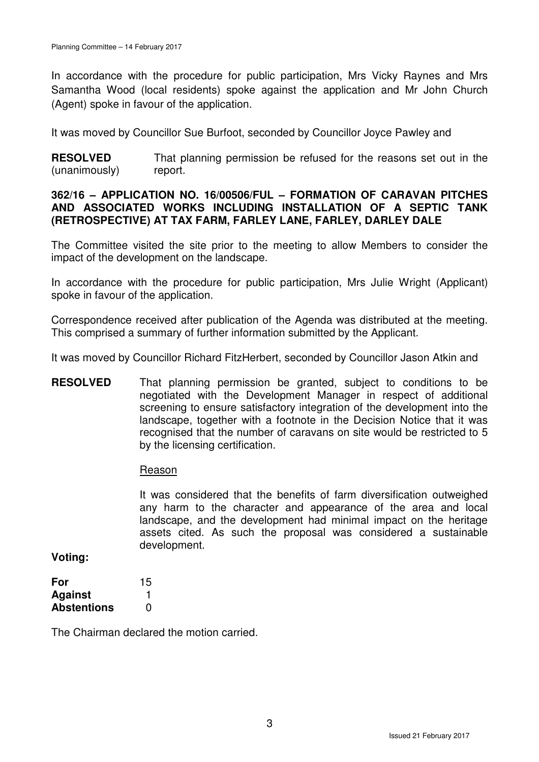In accordance with the procedure for public participation, Mrs Vicky Raynes and Mrs Samantha Wood (local residents) spoke against the application and Mr John Church (Agent) spoke in favour of the application.

It was moved by Councillor Sue Burfoot, seconded by Councillor Joyce Pawley and

**RESOLVED** (unanimously) That planning permission be refused for the reasons set out in the report.

# **362/16 – APPLICATION NO. 16/00506/FUL – FORMATION OF CARAVAN PITCHES AND ASSOCIATED WORKS INCLUDING INSTALLATION OF A SEPTIC TANK (RETROSPECTIVE) AT TAX FARM, FARLEY LANE, FARLEY, DARLEY DALE**

The Committee visited the site prior to the meeting to allow Members to consider the impact of the development on the landscape.

In accordance with the procedure for public participation, Mrs Julie Wright (Applicant) spoke in favour of the application.

Correspondence received after publication of the Agenda was distributed at the meeting. This comprised a summary of further information submitted by the Applicant.

It was moved by Councillor Richard FitzHerbert, seconded by Councillor Jason Atkin and

**RESOLVED** That planning permission be granted, subject to conditions to be negotiated with the Development Manager in respect of additional screening to ensure satisfactory integration of the development into the landscape, together with a footnote in the Decision Notice that it was recognised that the number of caravans on site would be restricted to 5 by the licensing certification.

#### Reason

It was considered that the benefits of farm diversification outweighed any harm to the character and appearance of the area and local landscape, and the development had minimal impact on the heritage assets cited. As such the proposal was considered a sustainable development.

**Voting:** 

| For                | 15 |
|--------------------|----|
| <b>Against</b>     |    |
| <b>Abstentions</b> | O  |

The Chairman declared the motion carried.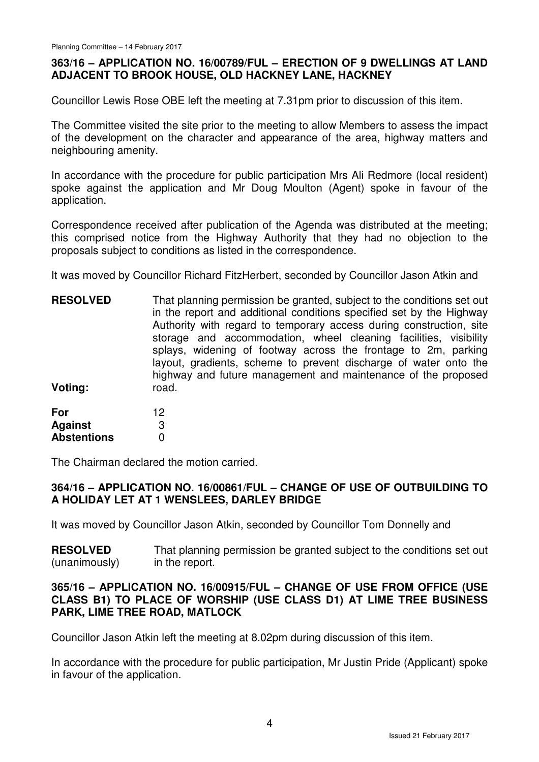# **363/16 – APPLICATION NO. 16/00789/FUL – ERECTION OF 9 DWELLINGS AT LAND ADJACENT TO BROOK HOUSE, OLD HACKNEY LANE, HACKNEY**

Councillor Lewis Rose OBE left the meeting at 7.31pm prior to discussion of this item.

The Committee visited the site prior to the meeting to allow Members to assess the impact of the development on the character and appearance of the area, highway matters and neighbouring amenity.

In accordance with the procedure for public participation Mrs Ali Redmore (local resident) spoke against the application and Mr Doug Moulton (Agent) spoke in favour of the application.

Correspondence received after publication of the Agenda was distributed at the meeting; this comprised notice from the Highway Authority that they had no objection to the proposals subject to conditions as listed in the correspondence.

It was moved by Councillor Richard FitzHerbert, seconded by Councillor Jason Atkin and

- **RESOLVED Voting:**  That planning permission be granted, subject to the conditions set out in the report and additional conditions specified set by the Highway Authority with regard to temporary access during construction, site storage and accommodation, wheel cleaning facilities, visibility splays, widening of footway across the frontage to 2m, parking layout, gradients, scheme to prevent discharge of water onto the highway and future management and maintenance of the proposed road.
- **For Against Abstentions**  12 3  $\Omega$

The Chairman declared the motion carried.

# **364/16 – APPLICATION NO. 16/00861/FUL – CHANGE OF USE OF OUTBUILDING TO A HOLIDAY LET AT 1 WENSLEES, DARLEY BRIDGE**

It was moved by Councillor Jason Atkin, seconded by Councillor Tom Donnelly and

**RESOLVED** (unanimously) That planning permission be granted subject to the conditions set out in the report.

# **365/16 – APPLICATION NO. 16/00915/FUL – CHANGE OF USE FROM OFFICE (USE CLASS B1) TO PLACE OF WORSHIP (USE CLASS D1) AT LIME TREE BUSINESS PARK, LIME TREE ROAD, MATLOCK**

Councillor Jason Atkin left the meeting at 8.02pm during discussion of this item.

In accordance with the procedure for public participation, Mr Justin Pride (Applicant) spoke in favour of the application.